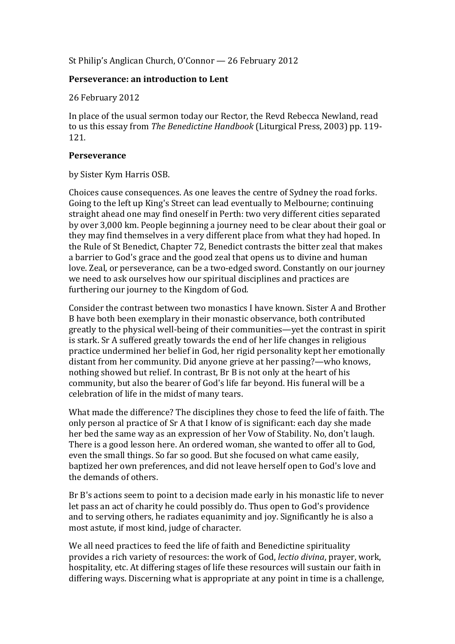St Philip's Anglican Church, O'Connor —  $26$  February 2012

## **Perseverance: an introduction to Lent**

26 February 2012

In place of the usual sermon today our Rector, the Revd Rebecca Newland, read to us this essay from *The Benedictine Handbook* (Liturgical Press, 2003) pp. 119-121.

## **Perseverance**

by Sister Kym Harris OSB.

Choices cause consequences. As one leaves the centre of Sydney the road forks. Going to the left up King's Street can lead eventually to Melbourne; continuing straight ahead one may find oneself in Perth: two very different cities separated by over 3,000 km. People beginning a journey need to be clear about their goal or they may find themselves in a very different place from what they had hoped. In the Rule of St Benedict, Chapter 72, Benedict contrasts the bitter zeal that makes a barrier to God's grace and the good zeal that opens us to divine and human love. Zeal, or perseverance, can be a two-edged sword. Constantly on our journey we need to ask ourselves how our spiritual disciplines and practices are furthering our journey to the Kingdom of God.

Consider the contrast between two monastics I have known. Sister A and Brother B have both been exemplary in their monastic observance, both contributed greatly to the physical well-being of their communities—yet the contrast in spirit is stark. Sr A suffered greatly towards the end of her life changes in religious practice undermined her belief in God, her rigid personality kept her emotionally distant from her community. Did anyone grieve at her passing?—who knows, nothing showed but relief. In contrast, Br B is not only at the heart of his community, but also the bearer of God's life far beyond. His funeral will be a celebration of life in the midst of many tears.

What made the difference? The disciplines they chose to feed the life of faith. The only person al practice of Sr A that I know of is significant: each day she made her bed the same way as an expression of her Vow of Stability. No, don't laugh. There is a good lesson here. An ordered woman, she wanted to offer all to God, even the small things. So far so good. But she focused on what came easily, baptized her own preferences, and did not leave herself open to God's love and the demands of others.

Br B's actions seem to point to a decision made early in his monastic life to never let pass an act of charity he could possibly do. Thus open to God's providence and to serving others, he radiates equanimity and joy. Significantly he is also a most astute, if most kind, judge of character.

We all need practices to feed the life of faith and Benedictine spirituality provides a rich variety of resources: the work of God, *lectio diving*, prayer, work, hospitality, etc. At differing stages of life these resources will sustain our faith in differing ways. Discerning what is appropriate at any point in time is a challenge,